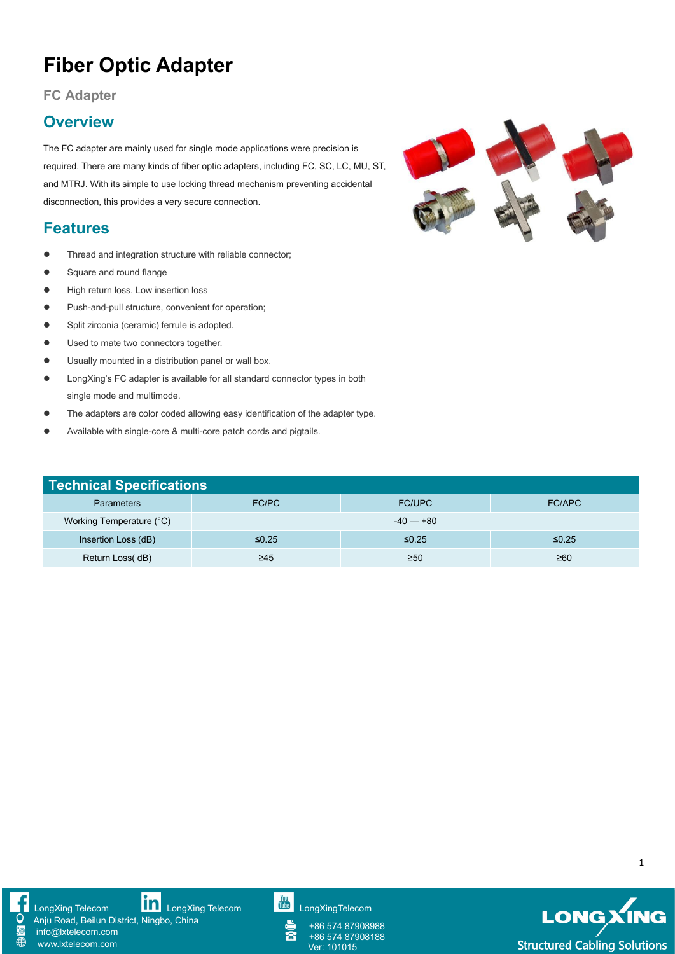# **Fiber Optic Adapter**

**FC Adapter**

#### **Overview**

The FC adapter are mainly used for single mode applications were precision is required. There are many kinds of fiber optic adapters, including FC, SC, LC, MU, ST, and MTRJ. With its simple to use locking thread mechanism preventing accidental disconnection, this provides a very secure connection.

### **Features**

- Thread and integration structure with reliable connector;
- Square and round flange
- **•** High return loss, Low insertion loss
- Push-and-pull structure, convenient for operation;
- Split zirconia (ceramic) ferrule is adopted.
- **•** Used to mate two connectors together.
- Usually mounted in a distribution panel or wall box.
- LongXing's FC adapter is available for all standard connector types in both single mode and multimode.
- The adapters are color coded allowing easy identification of the adapter type.
- Available with single-core & multi-core patch cords and pigtails.

| <b>Technical Specifications</b> |           |             |         |
|---------------------------------|-----------|-------------|---------|
| <b>Parameters</b>               | FC/PC     | FC/UPC      | FC/APC  |
| Working Temperature (°C)        |           | $-40 - +80$ |         |
| Insertion Loss (dB)             | ≤0.25     | ≤0.25       | $≤0.25$ |
| Return Loss(dB)                 | $\geq 45$ | $\geq 50$   | ≥60     |



info@lxtelecom.com [www.lxtelecom.com](http://www.lxtelecom.com/)

[LongXing](https://www.linkedin.com/company/longxing-telecom) Telecom LongXing Telecom [LongXingTelecom](https://www.youtube.com/user/LongXingTelecom) Anju Road, Beilun District, Ningbo, China



+86 574 87908988 富 +86 574 87908188



1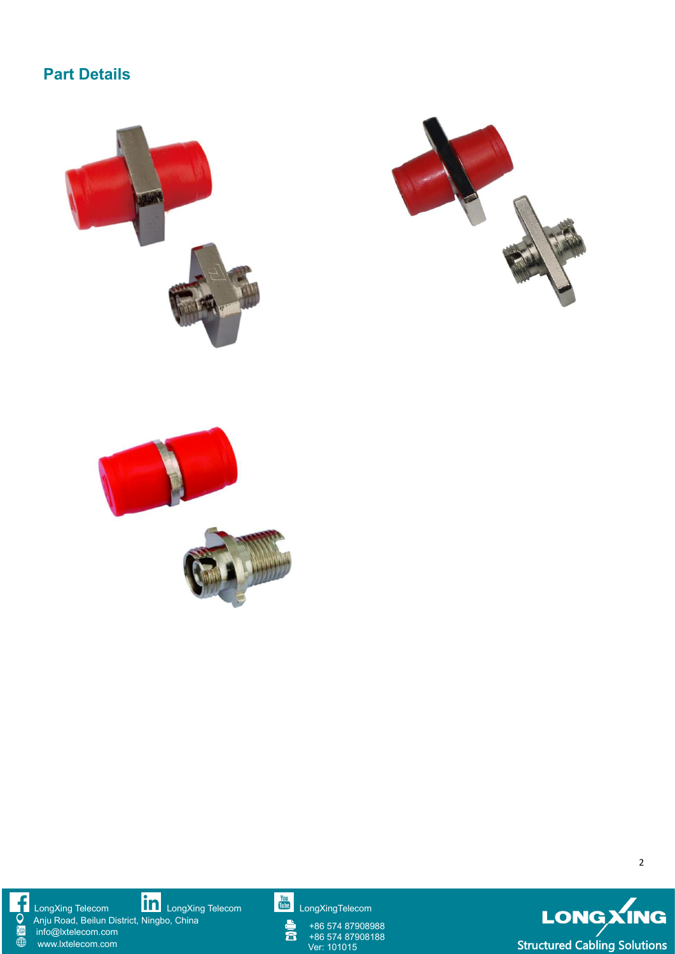### **Part Details**





f Q Anju Road, Beilun District, Ningbo, China  $\frac{1}{2}$ info@lxtelecom.com  $\overline{\oplus}$ [www.lxtelecom.com](http://www.lxtelecom.com/)

[LongXing](https://www.linkedin.com/company/longxing-telecom) Telecom **LILLI** LongXing Telecom LILLI [LongXingTelecom](https://www.youtube.com/user/LongXingTelecom) LongXingTelecom

+86 574 87908988  $\bar{\mathbf{a}}$ +86 574 87908188



2